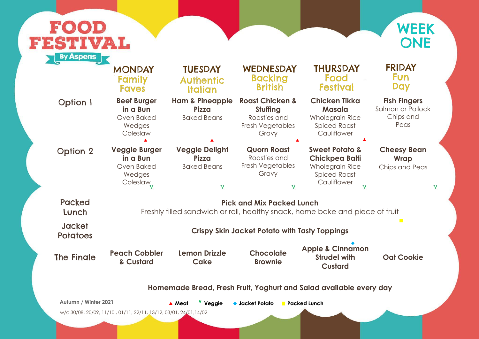## **Fish Fingers**

Salmon or Pollock Chips and Peas

## **Cheesy Bean Wrap**



|                                  | <b>MONDAY</b><br>Family<br><b>Faves</b>                                     | <b>TUESDAY</b><br><b>Authentic</b><br><b>Italian</b>                                   | WEDNESDAY<br><b>Backing</b><br><b>British</b>                                       | <b>THURSDAY</b><br>Food<br><b>Festival</b>                                                                         |  |  |
|----------------------------------|-----------------------------------------------------------------------------|----------------------------------------------------------------------------------------|-------------------------------------------------------------------------------------|--------------------------------------------------------------------------------------------------------------------|--|--|
| <b>Option 1</b>                  | <b>Beef Burger</b><br>in a Bun<br>Oven Baked<br>Wedges<br>Coleslaw          | <b>Ham &amp; Pineapple</b><br><b>Pizza</b><br><b>Baked Beans</b>                       | <b>Roast Chicken &amp;</b><br>Stuffing<br>Roasties and<br>Fresh Vegetables<br>Gravy | <b>Chicken Tikka</b><br><b>Masala</b><br><b>Wholegrain Rice</b><br><b>Spiced Roast</b><br>Cauliflower              |  |  |
| <b>Option 2</b>                  | <b>Veggie Burger</b><br>in a Bun<br>Oven Baked<br>Wedges<br><b>Coleslaw</b> | <b>Veggie Delight</b><br><b>Pizza</b><br><b>Baked Beans</b><br>$\overline{\mathsf{V}}$ | <b>Quorn Roast</b><br>Roasties and<br>Fresh Vegetables<br>Gravy<br>V                | <b>Sweet Potato &amp;</b><br><b>Chickpea Balti</b><br><b>Wholegrain Rice</b><br><b>Spiced Roast</b><br>Cauliflower |  |  |
| <b>Packed</b><br>Lunch           |                                                                             | Freshly filled sandwich or roll, healthy snack, home bake and pied                     | <b>Pick and Mix Packed Lunch</b>                                                    |                                                                                                                    |  |  |
| <b>Jacket</b><br><b>Potatoes</b> | <b>Crispy Skin Jacket Potato with Tasty Toppings</b>                        |                                                                                        |                                                                                     |                                                                                                                    |  |  |
| <b>The Fingle</b>                | <b>Peach Cobbler</b><br>& Custard                                           | <b>Lemon Drizzle</b><br>Cake                                                           | <b>Chocolate</b><br><b>Brownie</b>                                                  | <b>Apple &amp; Cinnamon</b><br><b>Strudel with</b><br><b>Custard</b>                                               |  |  |
|                                  |                                                                             | Homemade Bread, Fresh Fruit, Yoghurt and Salad available eve                           |                                                                                     |                                                                                                                    |  |  |
| <b>Autumn / Winter 2021</b>      | w/c 30/08, 20/09, 11/10, 01/11, 22/11, 13/12, 03/01, 24/01, 14/02           | V Veggie<br>▲ Meat                                                                     | $\bullet$ Jacket Potato                                                             | <b>Packed Lunch</b>                                                                                                |  |  |



## FRIDAY **Fun** Day

Chips and Peas

 $\overline{\mathsf{V}}$ 

 $\hat{\mathbf{V}}$ 

ece of fruit

**Apple** 

**Oat Cookie**

 $\mathcal{L}^{\mathcal{L}}$ 

**very day**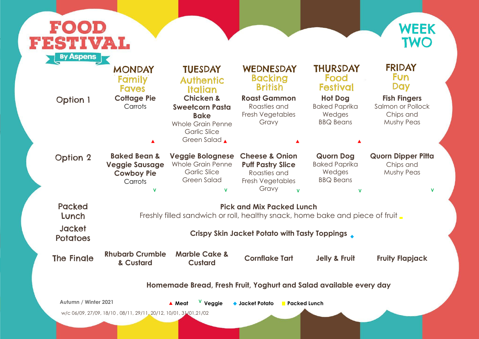## **Fish Fingers**



| <b>Packed</b><br>Lunch |                                                                                                                  |                                                                                                                                 |                                                                                                                           |                                                                             |                                                                     |  |
|------------------------|------------------------------------------------------------------------------------------------------------------|---------------------------------------------------------------------------------------------------------------------------------|---------------------------------------------------------------------------------------------------------------------------|-----------------------------------------------------------------------------|---------------------------------------------------------------------|--|
|                        | <b>Pick and Mix Packed Lunch</b><br>Freshly filled sandwich or roll, healthy snack, home bake and piece of fruit |                                                                                                                                 |                                                                                                                           |                                                                             |                                                                     |  |
| <b>Option 2</b>        | <b>Baked Bean &amp;</b><br><b>Veggie Sausage</b><br><b>Cowboy Pie</b><br>Carrots<br>$\mathbf v$                  | <b>Veggie Bolognese</b><br><b>Whole Grain Penne</b><br><b>Garlic Slice</b><br><b>Green Salad</b><br>$\mathbf v$                 | <b>Cheese &amp; Onion</b><br><b>Puff Pastry Slice</b><br>Roasties and<br><b>Fresh Vegetables</b><br>Gravy<br>$\mathbf{V}$ | <b>Quorn Dog</b><br><b>Baked Paprika</b><br>Wedges<br><b>BBQ Beans</b><br>V | <b>Quorn Dipper Pitta</b><br>Chips and<br><b>Mushy Peas</b><br>v    |  |
| <b>Option 1</b>        | <b>Cottage Pie</b><br>Carrots                                                                                    | <b>Chicken &amp;</b><br><b>Sweetcorn Pasta</b><br><b>Bake</b><br><b>Whole Grain Penne</b><br><b>Garlic Slice</b><br>Green Salad | <b>Roast Gammon</b><br>Roasties and<br>Fresh Vegetables<br>Gravy                                                          | <b>Hot Dog</b><br><b>Baked Paprika</b><br>Wedges<br><b>BBQ Beans</b>        | <b>Fish Fingers</b><br>Salmon or Pollock<br>Chips and<br>Mushy Peas |  |
|                        | <b>MONDAY</b><br>Family<br><b>Faves</b>                                                                          | <b>TUESDAY</b><br><b>Authentic</b><br><b>Italian</b>                                                                            | WEDNESDAY<br><b>Backing</b><br><b>British</b>                                                                             | <b>THURSDAY</b><br>Food<br>Festival                                         | <b>FRIDAY</b><br><b>Fun</b><br><b>Day</b>                           |  |



## FRIDAY Fun Day

## **Quorn Dipper Pitta** Chips and